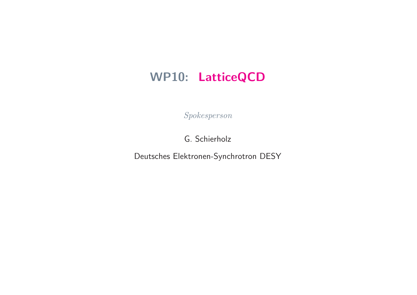# WP10: LatticeQCD

Spokesperson

G. Schierholz

Deutsches Elektronen-Synchrotron DESY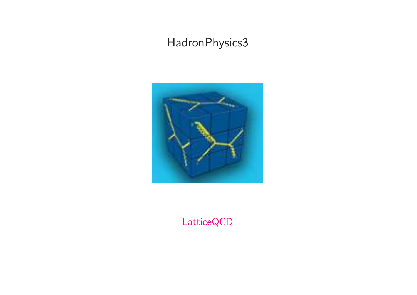# HadronPhysics3



LatticeQCD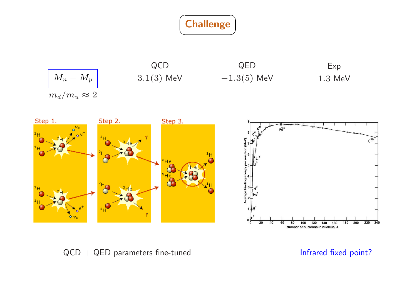







 $QCD + QED$  parameters fine-tuned  $I$  infrared fixed point?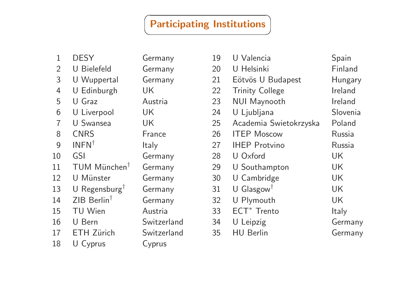## **Participating Institutions**

| 1              | <b>DESY</b>               | Germany     |
|----------------|---------------------------|-------------|
| $\overline{2}$ | U Bielefeld               | Germany     |
| 3              | U Wuppertal               | Germany     |
| $\overline{4}$ | U Edinburgh               | UK          |
| 5              | U Graz                    | Austria     |
| 6              | U Liverpool               | UK          |
| $\overline{7}$ | <b>U</b> Swansea          | UK          |
| 8              | <b>CNRS</b>               | France      |
| 9              | $INFN^{\dagger}$          | ltaly       |
| 10             | GSI                       | Germany     |
| 11             | TUM München <sup>†</sup>  | Germany     |
| 12             | U Münster                 | Germany     |
| 13             | U Regensburg <sup>1</sup> | Germany     |
| 14             | ZIB Berlin <sup>†</sup>   | Germany     |
| 15             | <b>TU Wien</b>            | Austria     |
| 16             | U Bern                    | Switzerland |
| 17             | <b>ETH Zürich</b>         | Switzerland |
| 18             | U Cyprus                  | Cyprus      |

| 19 | U Valencia              | Spain    |
|----|-------------------------|----------|
| 20 | U Helsinki              | Finland  |
| 21 | Eötvös U Budapest       | Hungary  |
| 22 | <b>Trinity College</b>  | Ireland  |
| 23 | <b>NUI Maynooth</b>     | Ireland  |
| 24 | U Ljubljana             | Slovenia |
| 25 | Academia Swietokrzyska  | Poland   |
| 26 | <b>ITEP Moscow</b>      | Russia   |
| 27 | <b>IHEP Protvino</b>    | Russia   |
| 28 | U Oxford                | UK       |
| 29 | U Southampton           | UK       |
| 30 | U Cambridge             | UK       |
| 31 | U Glasgow <sup>†</sup>  | UK       |
| 32 | U Plymouth              | UK       |
| 33 | ECT <sup>*</sup> Trento | Italy    |
| 34 | U Leipzig               | Germany  |
| 35 | <b>HU Berlin</b>        | Germany  |
|    |                         |          |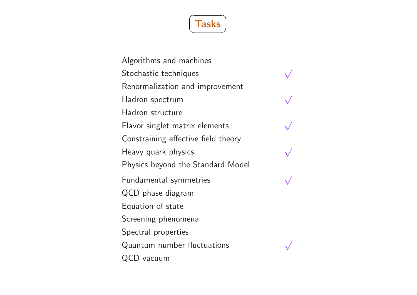

Algorithms and machines Stochastic techniques Renormalization and improvement Hadron spectrum Hadron structure Flavor singlet matrix elements Constraining effective field theory Heavy quark physics Physics beyond the Standard Model Fundamental symmetries QCD phase diagram Equation of state Screening phenomena Spectral properties Quantum number fluctuations QCD vacuum





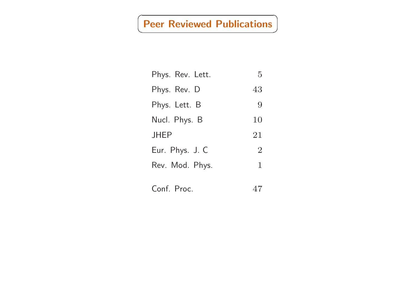## **Peer Reviewed Publications**

| Phys. Rev. Lett. | 5              |
|------------------|----------------|
| Phys. Rev. D     | 43             |
| Phys. Lett. B    | 9              |
| Nucl. Phys. B    | 10             |
| <b>JHEP</b>      | 21             |
| Eur. Phys. J. C  | $\overline{2}$ |
| Rev. Mod. Phys.  | $\mathbf 1$    |
| Conf. Proc.      | 47             |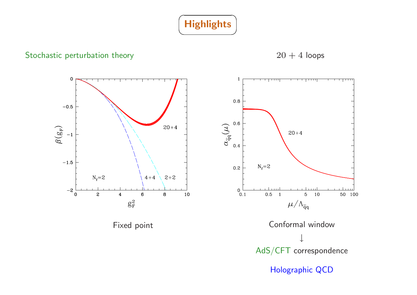

#### Stochastic perturbation theory

 $20 + 4$  loops

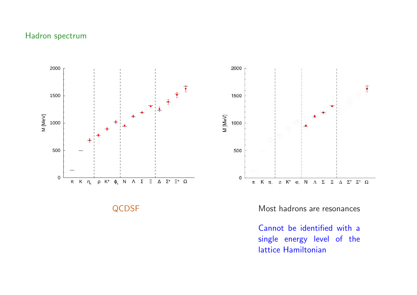#### Hadron spectrum



QCDSF Most hadrons are resonances

Cannot be identified with <sup>a</sup> single energy level of the lattice Hamiltonian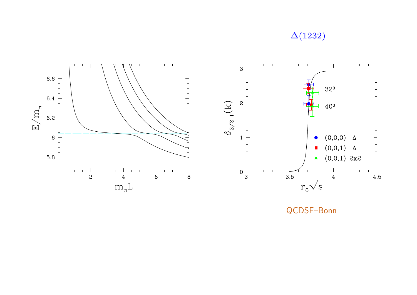## $\Delta(1232)$



QCDSF-Bonn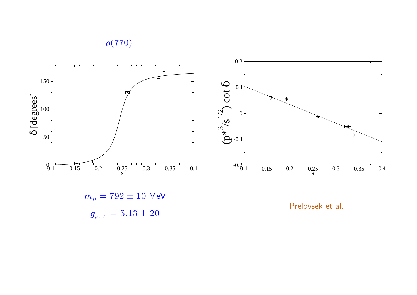$\rho(770)$ 





Prelovsek et al.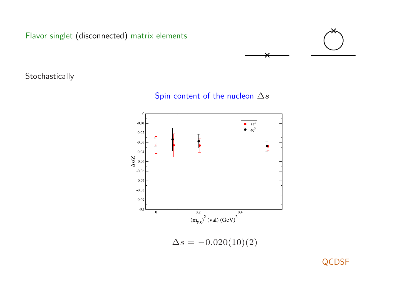Flavor singlet (disconnected) matrix elements



Stochastically

Spin content of the nucleon  $\Delta s$ 



 $\Delta s = -0.020(10)(2)$ 

QCDSF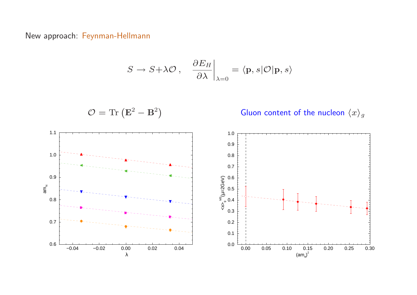#### New approach: Feynman-Hellmann

$$
S \to S + \lambda \mathcal{O} \,, \quad \frac{\partial E_H}{\partial \lambda} \bigg|_{\lambda=0} = \langle \mathbf{p}, s | \mathcal{O} | \mathbf{p}, s \rangle
$$

$$
\mathcal{O} = \text{Tr} \left( \mathbf{E}^2 - \mathbf{B}^2 \right)
$$

Gluon content of the nucleon  $\langle x \rangle_g$ 

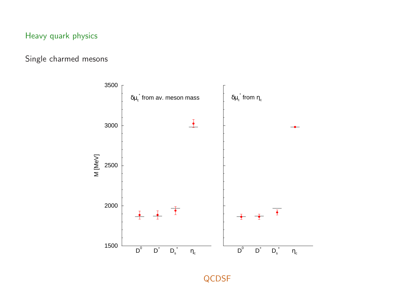## Heavy quark physics

## Single charmed mesons

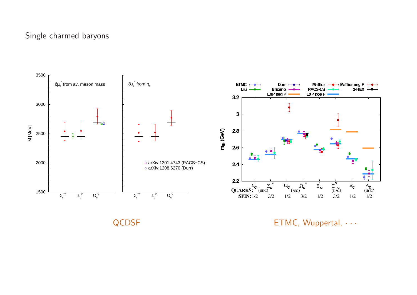#### Single charmed baryons



QCDSF **ETMC**, Wuppertal,  $\cdots$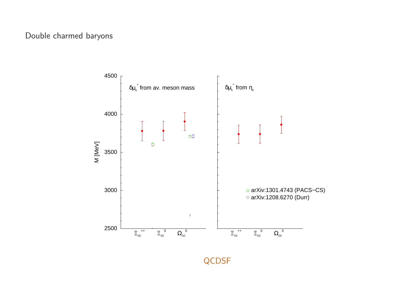#### Double charmed baryons



QCDSF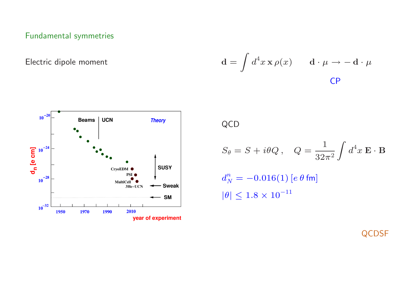## Fundamental symmetries

Electric dipole moment

$$
\mathbf{d} = \int d^4 x \, \mathbf{x} \, \rho(x) \qquad \mathbf{d} \cdot \mu \to -\mathbf{d} \cdot \mu
$$
CP



QCD

$$
S_{\theta} = S + i\theta Q, \quad Q = \frac{1}{32\pi^2} \int d^4 x \mathbf{E} \cdot \mathbf{B}
$$

$$
d_N^n = -0.016(1) \left[ e \theta \text{ fm} \right]
$$

$$
|\theta| \le 1.8 \times 10^{-11}
$$

QCDSF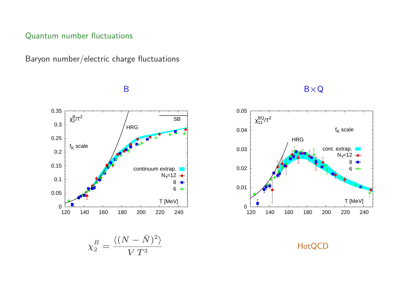#### Quantum number fluctuations

Baryon number/electric charge fluctuations

 0 0.05 0.1 0.15 0.2 0.25 0.3 0.35 120 140 160 180 200 220 240 T [MeV]  $\chi_2^{\sf B}$ /T $^2$ HRG  $f_K$  scale SB continuum extrap.  $N_{\tau}=12$ 8  $6 +$ 

#### B  $B \times Q$



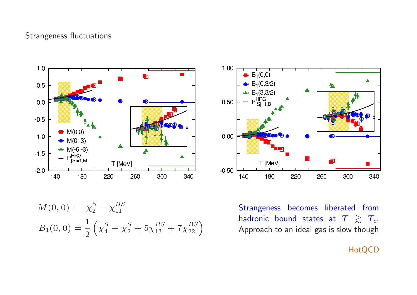#### Strangeness fluctuations





$$
M(0,0) = \chi_2^S - \chi_{11}^{BS}
$$
  
\n
$$
B_1(0,0) = \frac{1}{2} \left( \chi_4^S - \chi_2^S + 5 \chi_{13}^{BS} + 7 \chi_{22}^{BS} \right)
$$

Strangeness becomes liberated from hadronic bound states at  $T \gtrsim T_c$ . Approach to an ideal gas is slow though

**HotQCD**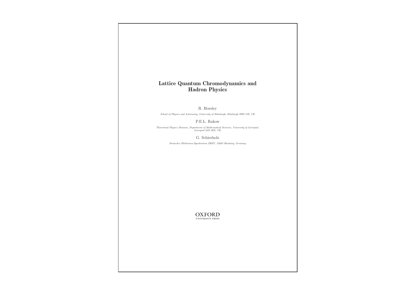#### Lattice Quantum Chromodynamics and Hadron Physics

R. Horsley

School of Physics and Astronomy, University of Edinburgh, Edinburgh EH9 3JZ, UK

P.E.L. Rakow

Theoretical Physics Division, Department of Mathematical Sciences, University of Liverpool, Liverpool L69 3BX, UK

G. Schierholz

Deutsches Elektronen-Synchrotron DESY, 22603 Hamburg, Germany

 $\underset{\text{UNIVERSITY PRESS}}{OXFORD}$